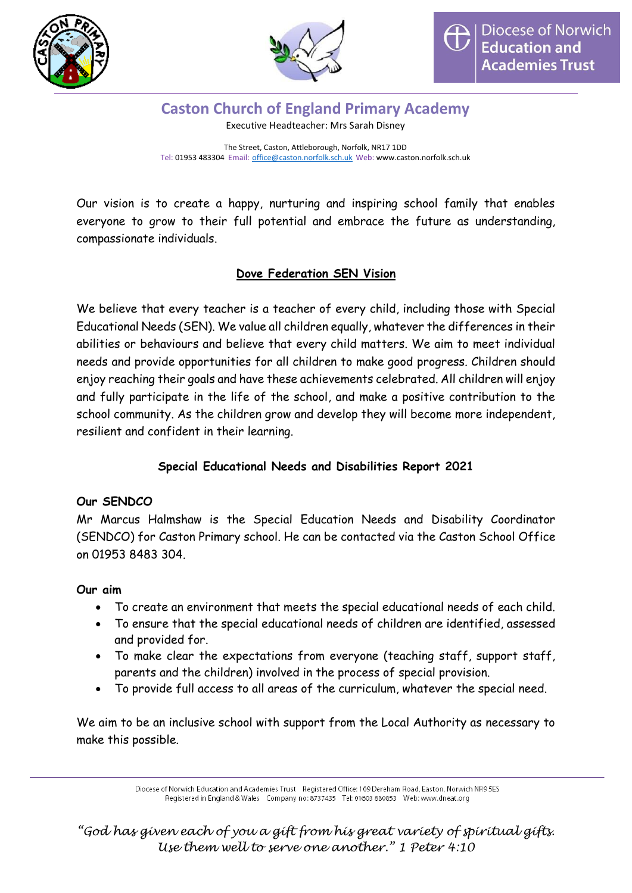



**Caston Church of England Primary Academy** Executive Headteacher: Mrs Sarah Disney

The Street, Caston, Attleborough, Norfolk, NR17 1DD Tel: 01953 483304 Email: [office@caston.norfolk.sch.uk](mailto:office@caston.norfolk.sch.uk) Web: www.caston.norfolk.sch.uk

Our vision is to create a happy, nurturing and inspiring school family that enables everyone to grow to their full potential and embrace the future as understanding, compassionate individuals.

# **Dove Federation SEN Vision**

We believe that every teacher is a teacher of every child, including those with Special Educational Needs (SEN). We value all children equally, whatever the differences in their abilities or behaviours and believe that every child matters. We aim to meet individual needs and provide opportunities for all children to make good progress. Children should enjoy reaching their goals and have these achievements celebrated. All children will enjoy and fully participate in the life of the school, and make a positive contribution to the school community. As the children grow and develop they will become more independent, resilient and confident in their learning.

## **Special Educational Needs and Disabilities Report 2021**

## **Our SENDCO**

Mr Marcus Halmshaw is the Special Education Needs and Disability Coordinator (SENDCO) for Caston Primary school. He can be contacted via the Caston School Office on 01953 8483 304.

## **Our aim**

- To create an environment that meets the special educational needs of each child.
- To ensure that the special educational needs of children are identified, assessed and provided for.
- To make clear the expectations from everyone (teaching staff, support staff, parents and the children) involved in the process of special provision.
- To provide full access to all areas of the curriculum, whatever the special need.

We aim to be an inclusive school with support from the Local Authority as necessary to make this possible.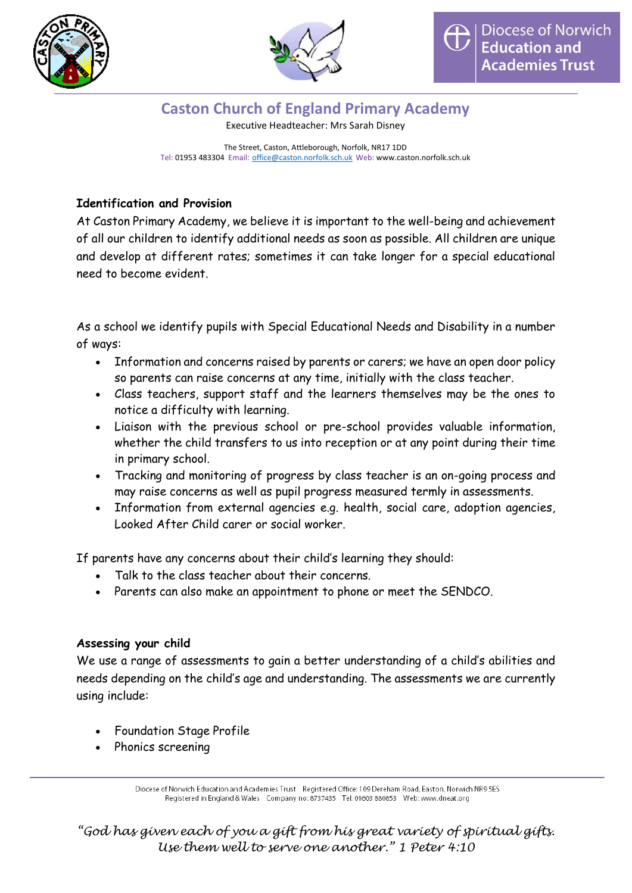



Executive Headteacher: Mrs Sarah Disney

The Street, Caston, Attleborough, Norfolk, NR17 1DD Tel: 01953 483304 Email: [office@caston.norfolk.sch.uk](mailto:office@caston.norfolk.sch.uk) Web: www.caston.norfolk.sch.uk

# **Identification and Provision**

At Caston Primary Academy, we believe it is important to the well-being and achievement of all our children to identify additional needs as soon as possible. All children are unique and develop at different rates; sometimes it can take longer for a special educational need to become evident.

As a school we identify pupils with Special Educational Needs and Disability in a number of ways:

- Information and concerns raised by parents or carers; we have an open door policy so parents can raise concerns at any time, initially with the class teacher.
- Class teachers, support staff and the learners themselves may be the ones to notice a difficulty with learning.
- Liaison with the previous school or pre-school provides valuable information, whether the child transfers to us into reception or at any point during their time in primary school.
- Tracking and monitoring of progress by class teacher is an on-going process and may raise concerns as well as pupil progress measured termly in assessments.
- Information from external agencies e.g. health, social care, adoption agencies, Looked After Child carer or social worker.

If parents have any concerns about their child's learning they should:

- Talk to the class teacher about their concerns.
- Parents can also make an appointment to phone or meet the SENDCO.

# **Assessing your child**

We use a range of assessments to gain a better understanding of a child's abilities and needs depending on the child's age and understanding. The assessments we are currently using include:

- Foundation Stage Profile
- Phonics screening

Diocese of Norwich Education and Academies Trust Registered Office: 109 Dereham Road, Easton, Norwich NR9 5ES Registered in England & Wales Company no: 8737435 Tel: 01603 880853 Web: www.dneat.org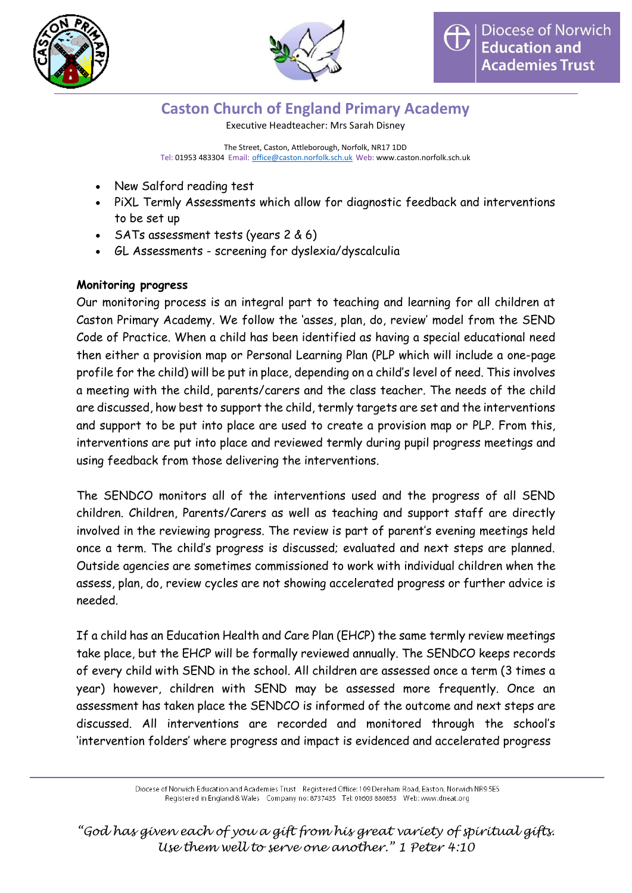



Executive Headteacher: Mrs Sarah Disney

The Street, Caston, Attleborough, Norfolk, NR17 1DD Tel: 01953 483304 Email: [office@caston.norfolk.sch.uk](mailto:office@caston.norfolk.sch.uk) Web: www.caston.norfolk.sch.uk

- New Salford reading test
- PiXL Termly Assessments which allow for diagnostic feedback and interventions to be set up
- $\cdot$  SATs assessment tests (years 2 & 6)
- GL Assessments screening for dyslexia/dyscalculia

# **Monitoring progress**

Our monitoring process is an integral part to teaching and learning for all children at Caston Primary Academy. We follow the 'asses, plan, do, review' model from the SEND Code of Practice. When a child has been identified as having a special educational need then either a provision map or Personal Learning Plan (PLP which will include a one-page profile for the child) will be put in place, depending on a child's level of need. This involves a meeting with the child, parents/carers and the class teacher. The needs of the child are discussed, how best to support the child, termly targets are set and the interventions and support to be put into place are used to create a provision map or PLP. From this, interventions are put into place and reviewed termly during pupil progress meetings and using feedback from those delivering the interventions.

The SENDCO monitors all of the interventions used and the progress of all SEND children. Children, Parents/Carers as well as teaching and support staff are directly involved in the reviewing progress. The review is part of parent's evening meetings held once a term. The child's progress is discussed; evaluated and next steps are planned. Outside agencies are sometimes commissioned to work with individual children when the assess, plan, do, review cycles are not showing accelerated progress or further advice is needed.

If a child has an Education Health and Care Plan (EHCP) the same termly review meetings take place, but the EHCP will be formally reviewed annually. The SENDCO keeps records of every child with SEND in the school. All children are assessed once a term (3 times a year) however, children with SEND may be assessed more frequently. Once an assessment has taken place the SENDCO is informed of the outcome and next steps are discussed. All interventions are recorded and monitored through the school's 'intervention folders' where progress and impact is evidenced and accelerated progress

> Diocese of Norwich Education and Academies Trust Registered Office: 109 Dereham Road, Easton, Norwich NR9 5ES Registered in England & Wales Company no: 8737435 Tel: 01603 880853 Web: www.dneat.org

*"God has given each of you a gift from his great variety of spiritual gifts. Use them well to serve one another." 1 Peter 4:10*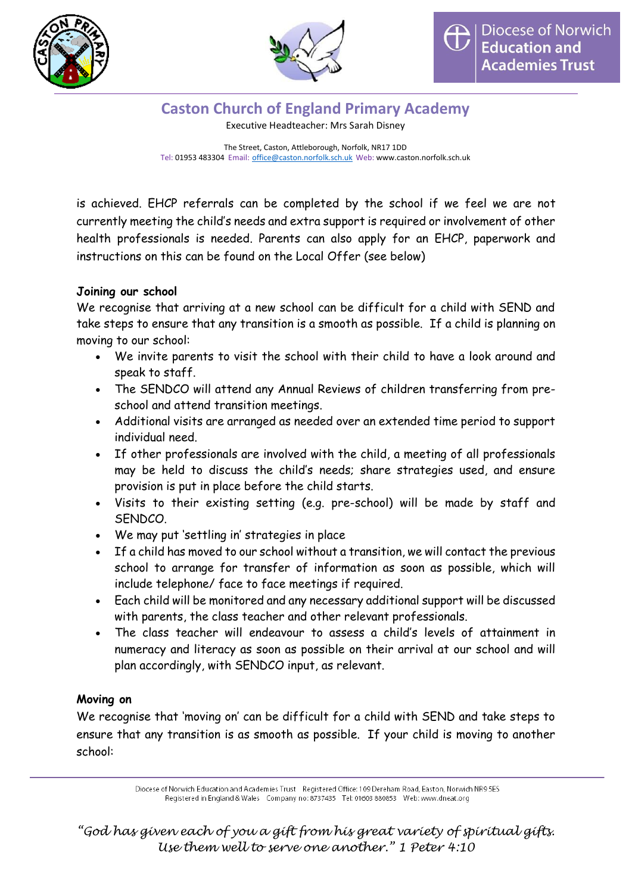



Executive Headteacher: Mrs Sarah Disney

The Street, Caston, Attleborough, Norfolk, NR17 1DD Tel: 01953 483304 Email: [office@caston.norfolk.sch.uk](mailto:office@caston.norfolk.sch.uk) Web: www.caston.norfolk.sch.uk

is achieved. EHCP referrals can be completed by the school if we feel we are not currently meeting the child's needs and extra support is required or involvement of other health professionals is needed. Parents can also apply for an EHCP, paperwork and instructions on this can be found on the Local Offer (see below)

#### **Joining our school**

We recognise that arriving at a new school can be difficult for a child with SEND and take steps to ensure that any transition is a smooth as possible. If a child is planning on moving to our school:

- We invite parents to visit the school with their child to have a look around and speak to staff.
- The SENDCO will attend any Annual Reviews of children transferring from preschool and attend transition meetings.
- Additional visits are arranged as needed over an extended time period to support individual need.
- If other professionals are involved with the child, a meeting of all professionals may be held to discuss the child's needs; share strategies used, and ensure provision is put in place before the child starts.
- Visits to their existing setting (e.g. pre-school) will be made by staff and SENDCO.
- We may put 'settling in' strategies in place
- If a child has moved to our school without a transition, we will contact the previous school to arrange for transfer of information as soon as possible, which will include telephone/ face to face meetings if required.
- Each child will be monitored and any necessary additional support will be discussed with parents, the class teacher and other relevant professionals.
- The class teacher will endeavour to assess a child's levels of attainment in numeracy and literacy as soon as possible on their arrival at our school and will plan accordingly, with SENDCO input, as relevant.

## **Moving on**

We recognise that 'moving on' can be difficult for a child with SEND and take steps to ensure that any transition is as smooth as possible. If your child is moving to another school: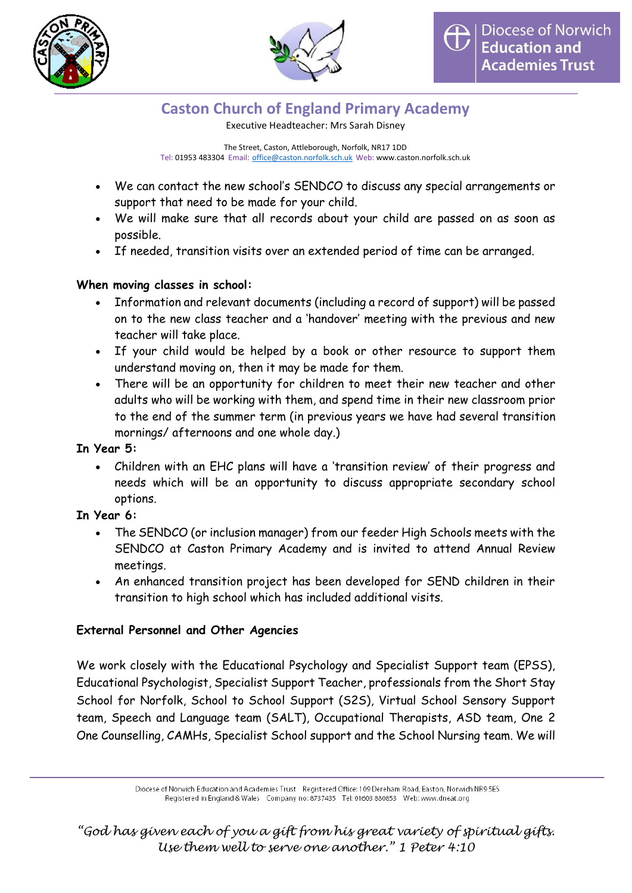



Executive Headteacher: Mrs Sarah Disney

The Street, Caston, Attleborough, Norfolk, NR17 1DD Tel: 01953 483304 Email: [office@caston.norfolk.sch.uk](mailto:office@caston.norfolk.sch.uk) Web: www.caston.norfolk.sch.uk

- We can contact the new school's SENDCO to discuss any special arrangements or support that need to be made for your child.
- We will make sure that all records about your child are passed on as soon as possible.
- If needed, transition visits over an extended period of time can be arranged.

# **When moving classes in school:**

- Information and relevant documents (including a record of support) will be passed on to the new class teacher and a 'handover' meeting with the previous and new teacher will take place.
- If your child would be helped by a book or other resource to support them understand moving on, then it may be made for them.
- There will be an opportunity for children to meet their new teacher and other adults who will be working with them, and spend time in their new classroom prior to the end of the summer term (in previous years we have had several transition mornings/ afternoons and one whole day.)

## **In Year 5:**

 Children with an EHC plans will have a 'transition review' of their progress and needs which will be an opportunity to discuss appropriate secondary school options.

# **In Year 6:**

- The SENDCO (or inclusion manager) from our feeder High Schools meets with the SENDCO at Caston Primary Academy and is invited to attend Annual Review meetings.
- An enhanced transition project has been developed for SEND children in their transition to high school which has included additional visits.

# **External Personnel and Other Agencies**

We work closely with the Educational Psychology and Specialist Support team (EPSS), Educational Psychologist, Specialist Support Teacher, professionals from the Short Stay School for Norfolk, School to School Support (S2S), Virtual School Sensory Support team, Speech and Language team (SALT), Occupational Therapists, ASD team, One 2 One Counselling, CAMHs, Specialist School support and the School Nursing team. We will

Diocese of Norwich Education and Academies Trust Registered Office: 109 Dereham Road, Easton, Norwich NR9 5ES Registered in England & Wales Company no: 8737435 Tel: 01603 880853 Web: www.dneat.org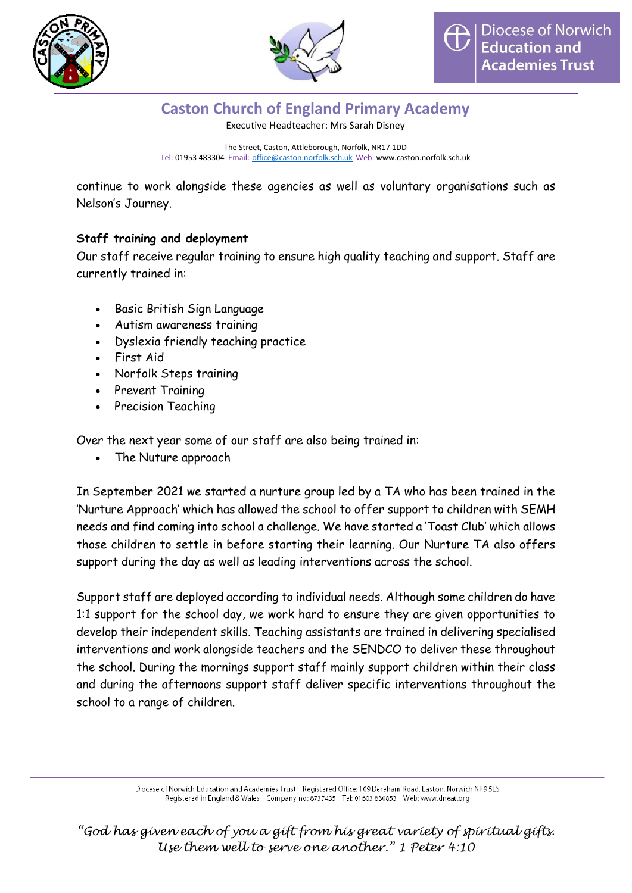



Executive Headteacher: Mrs Sarah Disney

The Street, Caston, Attleborough, Norfolk, NR17 1DD Tel: 01953 483304 Email: [office@caston.norfolk.sch.uk](mailto:office@caston.norfolk.sch.uk) Web: www.caston.norfolk.sch.uk

continue to work alongside these agencies as well as voluntary organisations such as Nelson's Journey.

## **Staff training and deployment**

Our staff receive regular training to ensure high quality teaching and support. Staff are currently trained in:

- Basic British Sign Language
- Autism awareness training
- Dyslexia friendly teaching practice
- First Aid
- Norfolk Steps training
- Prevent Training
- Precision Teaching

Over the next year some of our staff are also being trained in:

The Nuture approach

In September 2021 we started a nurture group led by a TA who has been trained in the 'Nurture Approach' which has allowed the school to offer support to children with SEMH needs and find coming into school a challenge. We have started a 'Toast Club' which allows those children to settle in before starting their learning. Our Nurture TA also offers support during the day as well as leading interventions across the school.

Support staff are deployed according to individual needs. Although some children do have 1:1 support for the school day, we work hard to ensure they are given opportunities to develop their independent skills. Teaching assistants are trained in delivering specialised interventions and work alongside teachers and the SENDCO to deliver these throughout the school. During the mornings support staff mainly support children within their class and during the afternoons support staff deliver specific interventions throughout the school to a range of children.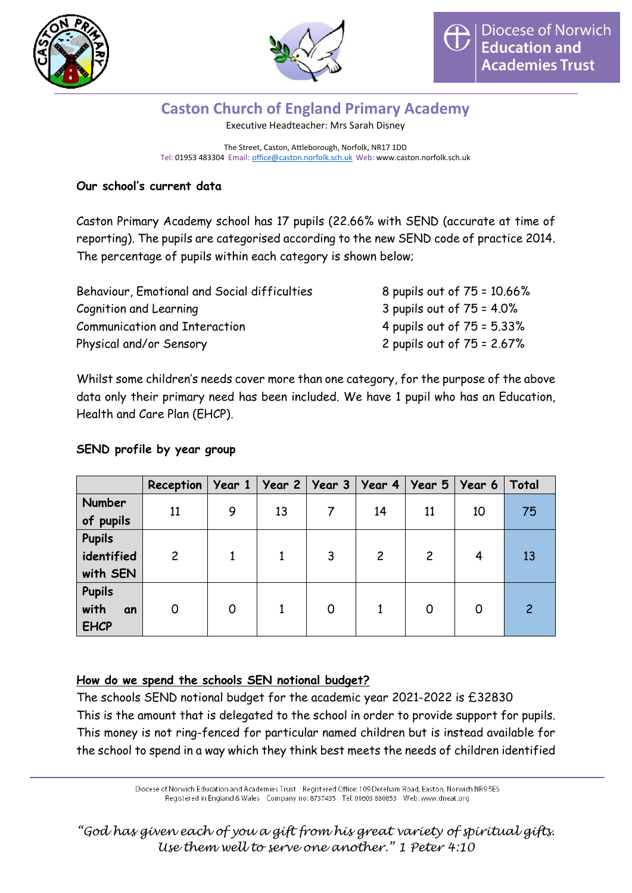



Executive Headteacher: Mrs Sarah Disney

The Street, Caston, Attleborough, Norfolk, NR17 1DD Tel: 01953 483304 Email: [office@caston.norfolk.sch.uk](mailto:office@caston.norfolk.sch.uk) Web: www.caston.norfolk.sch.uk

# **Our school's current data**

Caston Primary Academy school has 17 pupils (22.66% with SEND (accurate at time of reporting). The pupils are categorised according to the new SEND code of practice 2014. The percentage of pupils within each category is shown below;

| Behaviour, Emotional and Social difficulties | 8 pupils out of 75 = 10.66%   |
|----------------------------------------------|-------------------------------|
| Cognition and Learning                       | 3 pupils out of $75 = 4.0\%$  |
| <b>Communication and Interaction</b>         | 4 pupils out of $75 = 5.33\%$ |
| Physical and/or Sensory                      | 2 pupils out of $75 = 2.67%$  |

Whilst some children's needs cover more than one category, for the purpose of the above data only their primary need has been included. We have 1 pupil who has an Education, Health and Care Plan (EHCP).

# **SEND profile by year group**

|                                     | Reception   Year 1   Year 2   Year 3   Year 4   Year 5   Year 6 |   |    |   |                |                |    | Total |
|-------------------------------------|-----------------------------------------------------------------|---|----|---|----------------|----------------|----|-------|
| Number<br>of pupils                 | 11                                                              | 9 | 13 |   | 14             | 11             | 10 | 75    |
| <b>Pupils</b>                       |                                                                 |   |    |   |                |                |    |       |
| identified<br>with SEN              | $\overline{c}$                                                  |   |    | 3 | $\overline{2}$ | $\overline{c}$ | 4  | 13    |
| Pupils<br>with<br>an<br><b>EHCP</b> | 0                                                               | 0 |    | 0 |                | 0              | O  |       |

## **How do we spend the schools SEN notional budget?**

The schools SEND notional budget for the academic year 2021-2022 is £32830 This is the amount that is delegated to the school in order to provide support for pupils. This money is not ring-fenced for particular named children but is instead available for the school to spend in a way which they think best meets the needs of children identified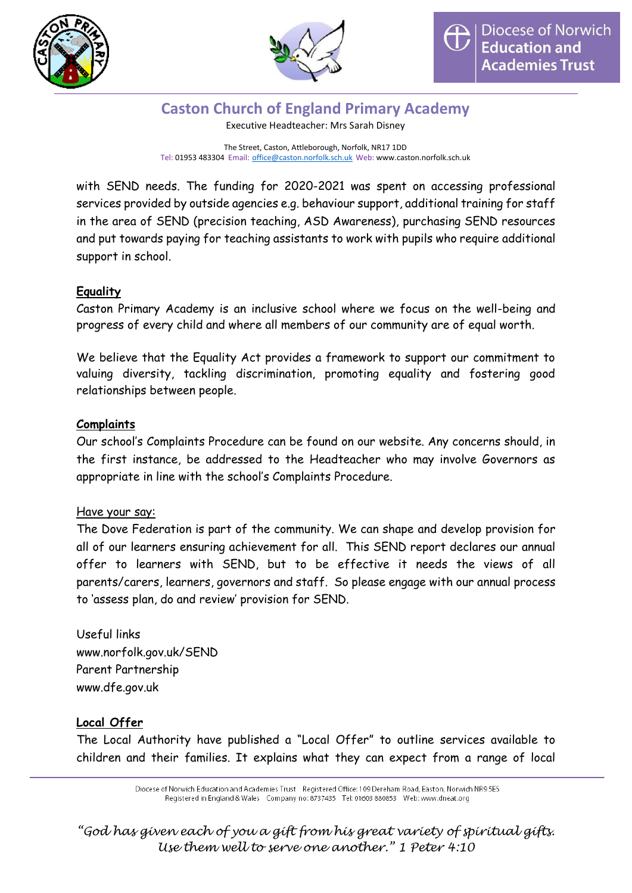



Executive Headteacher: Mrs Sarah Disney

The Street, Caston, Attleborough, Norfolk, NR17 1DD Tel: 01953 483304 Email: [office@caston.norfolk.sch.uk](mailto:office@caston.norfolk.sch.uk) Web: www.caston.norfolk.sch.uk

with SEND needs. The funding for 2020-2021 was spent on accessing professional services provided by outside agencies e.g. behaviour support, additional training for staff in the area of SEND (precision teaching, ASD Awareness), purchasing SEND resources and put towards paying for teaching assistants to work with pupils who require additional support in school.

## **Equality**

Caston Primary Academy is an inclusive school where we focus on the well-being and progress of every child and where all members of our community are of equal worth.

We believe that the Equality Act provides a framework to support our commitment to valuing diversity, tackling discrimination, promoting equality and fostering good relationships between people.

#### **Complaints**

Our school's Complaints Procedure can be found on our website. Any concerns should, in the first instance, be addressed to the Headteacher who may involve Governors as appropriate in line with the school's Complaints Procedure.

#### Have your say:

The Dove Federation is part of the community. We can shape and develop provision for all of our learners ensuring achievement for all. This SEND report declares our annual offer to learners with SEND, but to be effective it needs the views of all parents/carers, learners, governors and staff. So please engage with our annual process to 'assess plan, do and review' provision for SEND.

Useful links www.norfolk.gov.uk/SEND Parent Partnership www.dfe.gov.uk

## **Local Offer**

The Local Authority have published a "Local Offer" to outline services available to children and their families. It explains what they can expect from a range of local